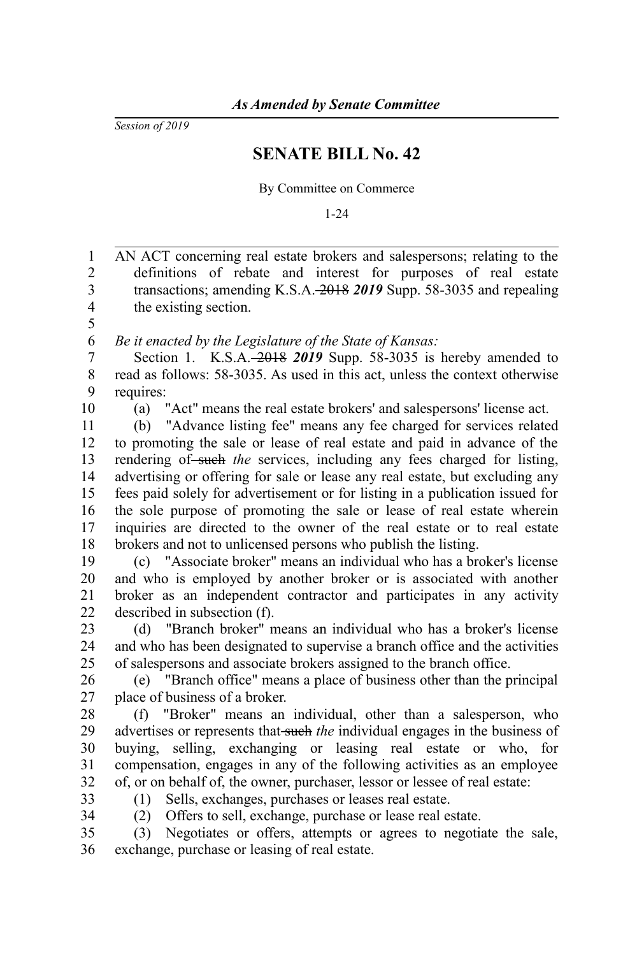*Session of 2019*

## **SENATE BILL No. 42**

By Committee on Commerce

1-24

AN ACT concerning real estate brokers and salespersons; relating to the definitions of rebate and interest for purposes of real estate transactions; amending K.S.A. 2018 *2019* Supp. 58-3035 and repealing the existing section. *Be it enacted by the Legislature of the State of Kansas:* Section 1. K.S.A. 2018 *2019* Supp. 58-3035 is hereby amended to read as follows: 58-3035. As used in this act, unless the context otherwise requires: (a) "Act" means the real estate brokers' and salespersons' license act. (b) "Advance listing fee" means any fee charged for services related to promoting the sale or lease of real estate and paid in advance of the rendering of such the services, including any fees charged for listing, advertising or offering for sale or lease any real estate, but excluding any fees paid solely for advertisement or for listing in a publication issued for the sole purpose of promoting the sale or lease of real estate wherein inquiries are directed to the owner of the real estate or to real estate brokers and not to unlicensed persons who publish the listing. (c) "Associate broker" means an individual who has a broker's license and who is employed by another broker or is associated with another broker as an independent contractor and participates in any activity described in subsection (f). (d) "Branch broker" means an individual who has a broker's license and who has been designated to supervise a branch office and the activities of salespersons and associate brokers assigned to the branch office. (e) "Branch office" means a place of business other than the principal place of business of a broker. (f) "Broker" means an individual, other than a salesperson, who advertises or represents that such *the* individual engages in the business of buying, selling, exchanging or leasing real estate or who, for compensation, engages in any of the following activities as an employee of, or on behalf of, the owner, purchaser, lessor or lessee of real estate: (1) Sells, exchanges, purchases or leases real estate. (2) Offers to sell, exchange, purchase or lease real estate. (3) Negotiates or offers, attempts or agrees to negotiate the sale, exchange, purchase or leasing of real estate. 1 2 3 4 5 6 7 8 9 10 11 12 13 14 15 16 17 18 19 20 21 22 23 24 25 26 27 28  $29$ 30 31 32 33 34 35 36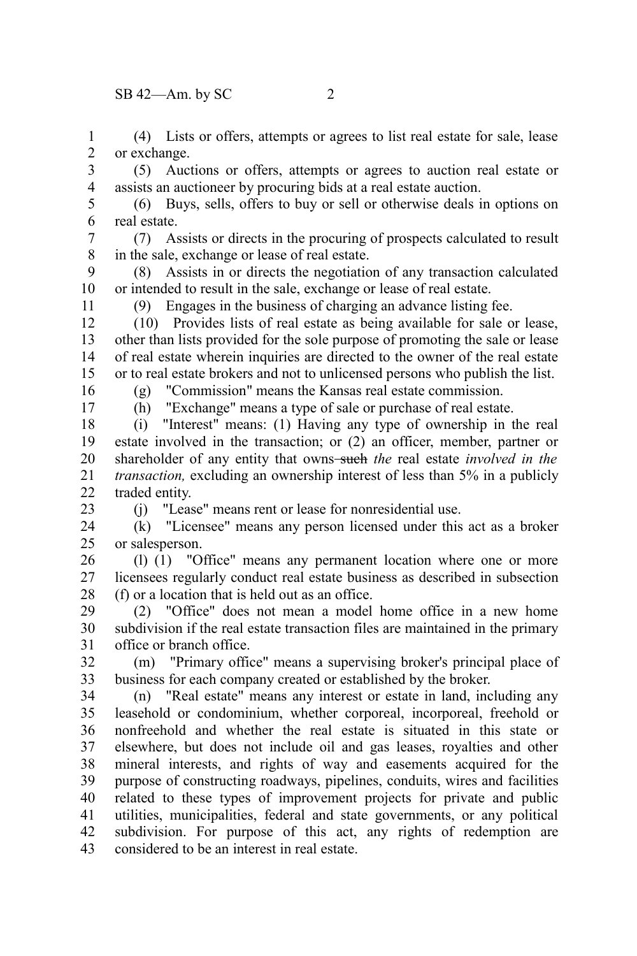$SB$  42—Am. by SC 2

(4) Lists or offers, attempts or agrees to list real estate for sale, lease or exchange. 1 2

(5) Auctions or offers, attempts or agrees to auction real estate or assists an auctioneer by procuring bids at a real estate auction. 3 4

(6) Buys, sells, offers to buy or sell or otherwise deals in options on real estate. 5 6

(7) Assists or directs in the procuring of prospects calculated to result in the sale, exchange or lease of real estate. 7 8

(8) Assists in or directs the negotiation of any transaction calculated or intended to result in the sale, exchange or lease of real estate. 9 10

(9) Engages in the business of charging an advance listing fee.

(10) Provides lists of real estate as being available for sale or lease, other than lists provided for the sole purpose of promoting the sale or lease of real estate wherein inquiries are directed to the owner of the real estate or to real estate brokers and not to unlicensed persons who publish the list. 12 13 14 15

(g) "Commission" means the Kansas real estate commission.

16 17

11

(h) "Exchange" means a type of sale or purchase of real estate.

(i) "Interest" means: (1) Having any type of ownership in the real estate involved in the transaction; or (2) an officer, member, partner or shareholder of any entity that owns-such the real estate *involved in the transaction,* excluding an ownership interest of less than 5% in a publicly traded entity. 18 19 20 21  $22$ 

23

(j) "Lease" means rent or lease for nonresidential use.

(k) "Licensee" means any person licensed under this act as a broker or salesperson. 24 25

(l) (1) "Office" means any permanent location where one or more licensees regularly conduct real estate business as described in subsection (f) or a location that is held out as an office. 26 27 28

(2) "Office" does not mean a model home office in a new home subdivision if the real estate transaction files are maintained in the primary office or branch office. 29 30 31

(m) "Primary office" means a supervising broker's principal place of business for each company created or established by the broker. 32 33

(n) "Real estate" means any interest or estate in land, including any leasehold or condominium, whether corporeal, incorporeal, freehold or nonfreehold and whether the real estate is situated in this state or elsewhere, but does not include oil and gas leases, royalties and other mineral interests, and rights of way and easements acquired for the purpose of constructing roadways, pipelines, conduits, wires and facilities related to these types of improvement projects for private and public utilities, municipalities, federal and state governments, or any political subdivision. For purpose of this act, any rights of redemption are considered to be an interest in real estate. 34 35 36 37 38 39 40 41 42 43